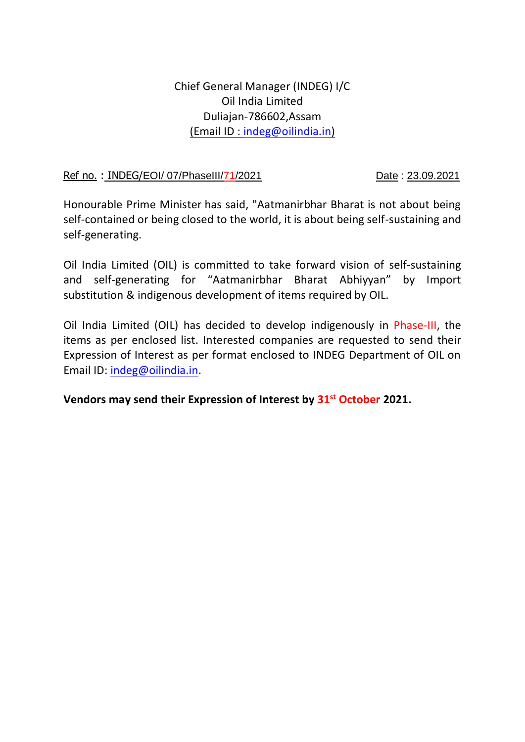Chief General Manager (INDEG) I/C Oil India Limited Duliajan-786602,Assam (Email ID : [indeg@oilindia.in\)](mailto:indeg@oilindia.in)

## Ref no.: INDEG/EOI/ 07/PhaseIII/71/2021 Date: 23.09.2021

Honourable Prime Minister has said, "Aatmanirbhar Bharat is not about being self-contained or being closed to the world, it is about being self-sustaining and self-generating.

Oil India Limited (OIL) is committed to take forward vision of self-sustaining and self-generating for "Aatmanirbhar Bharat Abhiyyan" by Import substitution & indigenous development of items required by OIL.

Oil India Limited (OIL) has decided to develop indigenously in Phase-III, the items as per enclosed list. Interested companies are requested to send their Expression of Interest as per format enclosed to INDEG Department of OIL on Email ID: [indeg@oilindia.in.](mailto:indeg@oilindia.in)

**Vendors may send their Expression of Interest by 31st October 2021.**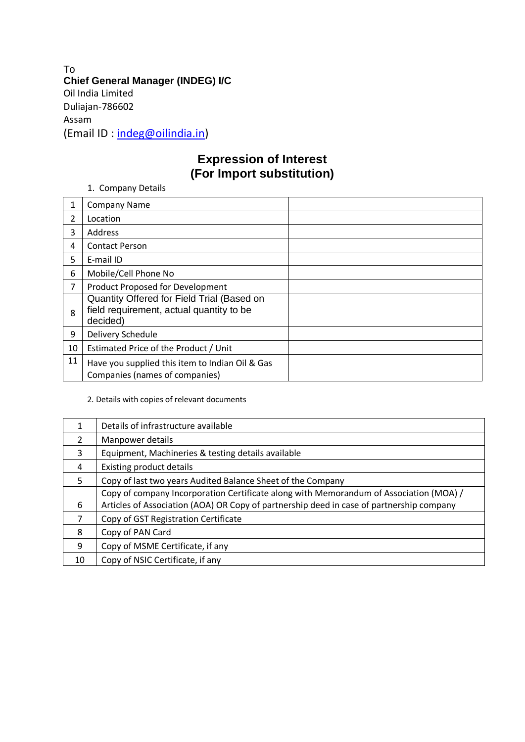To **Chief General Manager (INDEG) I/C** Oil India Limited Duliajan-786602 Assam (Email ID : [indeg@oilindia.in\)](mailto:indeg@oilindia.in)

## **Expression of Interest (For Import substitution)**

1. Company Details

| 1              | <b>Company Name</b>                                                                                |  |
|----------------|----------------------------------------------------------------------------------------------------|--|
| 2              | Location                                                                                           |  |
| 3              | Address                                                                                            |  |
| 4              | <b>Contact Person</b>                                                                              |  |
| 5              | E-mail ID                                                                                          |  |
| 6              | Mobile/Cell Phone No                                                                               |  |
| $\overline{7}$ | Product Proposed for Development                                                                   |  |
| 8              | Quantity Offered for Field Trial (Based on<br>field requirement, actual quantity to be<br>decided) |  |
| 9              | Delivery Schedule                                                                                  |  |
| 10             | Estimated Price of the Product / Unit                                                              |  |
| 11             | Have you supplied this item to Indian Oil & Gas<br>Companies (names of companies)                  |  |

## 2. Details with copies of relevant documents

|               | Details of infrastructure available                                                      |
|---------------|------------------------------------------------------------------------------------------|
| $\mathcal{L}$ | Manpower details                                                                         |
| 3             | Equipment, Machineries & testing details available                                       |
| 4             | Existing product details                                                                 |
| 5             | Copy of last two years Audited Balance Sheet of the Company                              |
|               | Copy of company Incorporation Certificate along with Memorandum of Association (MOA) /   |
| 6             | Articles of Association (AOA) OR Copy of partnership deed in case of partnership company |
| 7             | Copy of GST Registration Certificate                                                     |
| 8             | Copy of PAN Card                                                                         |
| 9             | Copy of MSME Certificate, if any                                                         |
| 10            | Copy of NSIC Certificate, if any                                                         |